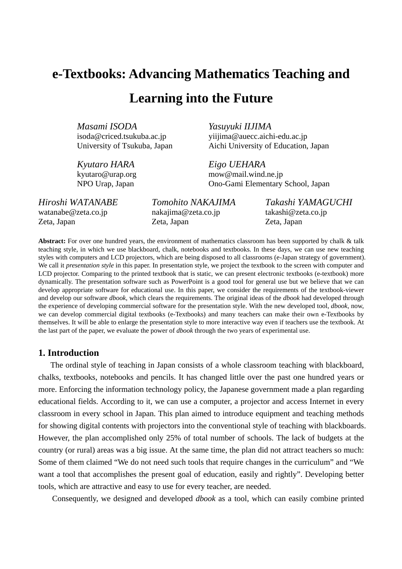# **e-Textbooks: Advancing Mathematics Teaching and Learning into the Future**

*Masami ISODA Yasuyuki IIJIMA* 

isoda@criced.tsukuba.ac.jp yiijima@auecc.aichi-edu.ac.jp University of Tsukuba, Japan Aichi University of Education, Japan

*Kyutaro HARA Eigo UEHARA* 

kyutaro@urap.org mow@mail.wind.ne.jp NPO Urap, Japan Ono-Gami Elementary School, Japan

watanabe@zeta.co.jp hakajima@zeta.co.jp takashi@zeta.co.jp Zeta, Japan Zeta, Japan Zeta, Japan

*Hiroshi WATANABE Tomohito NAKAJIMA Takashi YAMAGUCHI* 

**Abstract:** For over one hundred years, the environment of mathematics classroom has been supported by chalk & talk teaching style, in which we use blackboard, chalk, notebooks and textbooks. In these days, we can use new teaching styles with computers and LCD projectors, which are being disposed to all classrooms (e-Japan strategy of government). We call it *presentation style* in this paper. In presentation style, we project the textbook to the screen with computer and LCD projector. Comparing to the printed textbook that is static, we can present electronic textbooks (e-textbook) more dynamically. The presentation software such as PowerPoint is a good tool for general use but we believe that we can develop appropriate software for educational use. In this paper, we consider the requirements of the textbook-viewer and develop our software *dbook*, which clears the requirements. The original ideas of the *dbook* had developed through the experience of developing commercial software for the presentation style. With the new developed tool, *dbook*, now, we can develop commercial digital textbooks (e-Textbooks) and many teachers can make their own e-Textbooks by themselves. It will be able to enlarge the presentation style to more interactive way even if teachers use the textbook. At the last part of the paper, we evaluate the power of *dbook* through the two years of experimental use.

## **1. Introduction**

The ordinal style of teaching in Japan consists of a whole classroom teaching with blackboard, chalks, textbooks, notebooks and pencils. It has changed little over the past one hundred years or more. Enforcing the information technology policy, the Japanese government made a plan regarding educational fields. According to it, we can use a computer, a projector and access Internet in every classroom in every school in Japan. This plan aimed to introduce equipment and teaching methods for showing digital contents with projectors into the conventional style of teaching with blackboards. However, the plan accomplished only 25% of total number of schools. The lack of budgets at the country (or rural) areas was a big issue. At the same time, the plan did not attract teachers so much: Some of them claimed "We do not need such tools that require changes in the curriculum" and "We want a tool that accomplishes the present goal of education, easily and rightly". Developing better tools, which are attractive and easy to use for every teacher, are needed.

Consequently, we designed and developed *dbook* as a tool, which can easily combine printed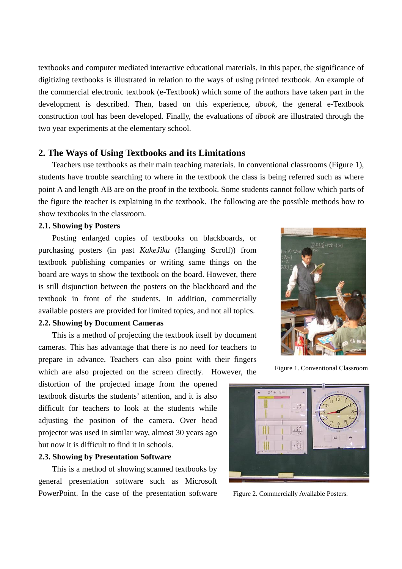textbooks and computer mediated interactive educational materials. In this paper, the significance of digitizing textbooks is illustrated in relation to the ways of using printed textbook. An example of the commercial electronic textbook (e-Textbook) which some of the authors have taken part in the development is described. Then, based on this experience, *dbook*, the general e-Textbook construction tool has been developed. Finally, the evaluations of *dbook* are illustrated through the two year experiments at the elementary school.

## **2. The Ways of Using Textbooks and its Limitations**

Teachers use textbooks as their main teaching materials. In conventional classrooms (Figure 1), students have trouble searching to where in the textbook the class is being referred such as where point A and length AB are on the proof in the textbook. Some students cannot follow which parts of the figure the teacher is explaining in the textbook. The following are the possible methods how to show textbooks in the classroom.

#### **2.1. Showing by Posters**

Posting enlarged copies of textbooks on blackboards, or purchasing posters (in past *KakeJiku* (Hanging Scroll)) from textbook publishing companies or writing same things on the board are ways to show the textbook on the board. However, there is still disjunction between the posters on the blackboard and the textbook in front of the students. In addition, commercially available posters are provided for limited topics, and not all topics.

## **2.2. Showing by Document Cameras**

This is a method of projecting the textbook itself by document cameras. This has advantage that there is no need for teachers to prepare in advance. Teachers can also point with their fingers which are also projected on the screen directly. However, the

distortion of the projected image from the opened textbook disturbs the students' attention, and it is also difficult for teachers to look at the students while adjusting the position of the camera. Over head projector was used in similar way, almost 30 years ago but now it is difficult to find it in schools.

#### **2.3. Showing by Presentation Software**

This is a method of showing scanned textbooks by general presentation software such as Microsoft PowerPoint. In the case of the presentation software Figure 2. Commercially Available Posters.



Figure 1. Conventional Classroom

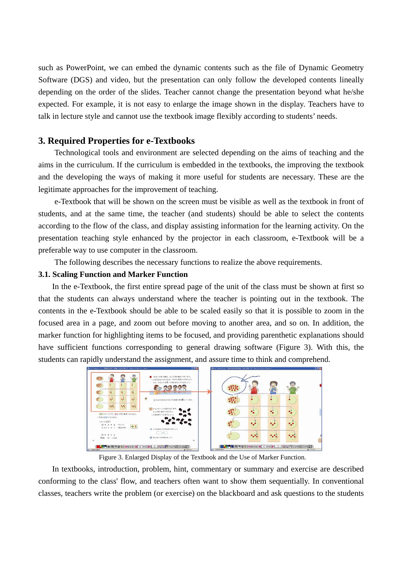such as PowerPoint, we can embed the dynamic contents such as the file of Dynamic Geometry Software (DGS) and video, but the presentation can only follow the developed contents lineally depending on the order of the slides. Teacher cannot change the presentation beyond what he/she expected. For example, it is not easy to enlarge the image shown in the display. Teachers have to talk in lecture style and cannot use the textbook image flexibly according to students' needs.

## **3. Required Properties for e-Textbooks**

Technological tools and environment are selected depending on the aims of teaching and the aims in the curriculum. If the curriculum is embedded in the textbooks, the improving the textbook and the developing the ways of making it more useful for students are necessary. These are the legitimate approaches for the improvement of teaching.

e-Textbook that will be shown on the screen must be visible as well as the textbook in front of students, and at the same time, the teacher (and students) should be able to select the contents according to the flow of the class, and display assisting information for the learning activity. On the presentation teaching style enhanced by the projector in each classroom, e-Textbook will be a preferable way to use computer in the classroom.

The following describes the necessary functions to realize the above requirements.

#### **3.1. Scaling Function and Marker Function**

In the e-Textbook, the first entire spread page of the unit of the class must be shown at first so that the students can always understand where the teacher is pointing out in the textbook. The contents in the e-Textbook should be able to be scaled easily so that it is possible to zoom in the focused area in a page, and zoom out before moving to another area, and so on. In addition, the marker function for highlighting items to be focused, and providing parenthetic explanations should have sufficient functions corresponding to general drawing software (Figure 3). With this, the students can rapidly understand the assignment, and assure time to think and comprehend.



Figure 3. Enlarged Display of the Textbook and the Use of Marker Function.

In textbooks, introduction, problem, hint, commentary or summary and exercise are described conforming to the class' flow, and teachers often want to show them sequentially. In conventional classes, teachers write the problem (or exercise) on the blackboard and ask questions to the students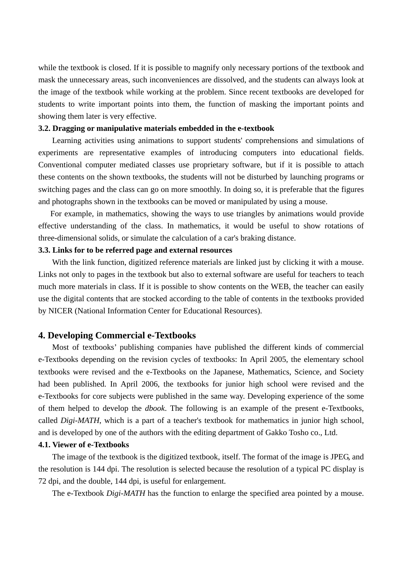while the textbook is closed. If it is possible to magnify only necessary portions of the textbook and mask the unnecessary areas, such inconveniences are dissolved, and the students can always look at the image of the textbook while working at the problem. Since recent textbooks are developed for students to write important points into them, the function of masking the important points and showing them later is very effective.

#### **3.2. Dragging or manipulative materials embedded in the e-textbook**

Learning activities using animations to support students' comprehensions and simulations of experiments are representative examples of introducing computers into educational fields. Conventional computer mediated classes use proprietary software, but if it is possible to attach these contents on the shown textbooks, the students will not be disturbed by launching programs or switching pages and the class can go on more smoothly. In doing so, it is preferable that the figures and photographs shown in the textbooks can be moved or manipulated by using a mouse.

For example, in mathematics, showing the ways to use triangles by animations would provide effective understanding of the class. In mathematics, it would be useful to show rotations of three-dimensional solids, or simulate the calculation of a car's braking distance.

#### **3.3. Links for to be referred page and external resources**

With the link function, digitized reference materials are linked just by clicking it with a mouse. Links not only to pages in the textbook but also to external software are useful for teachers to teach much more materials in class. If it is possible to show contents on the WEB, the teacher can easily use the digital contents that are stocked according to the table of contents in the textbooks provided by NICER (National Information Center for Educational Resources).

#### **4. Developing Commercial e-Textbooks**

Most of textbooks' publishing companies have published the different kinds of commercial e-Textbooks depending on the revision cycles of textbooks: In April 2005, the elementary school textbooks were revised and the e-Textbooks on the Japanese, Mathematics, Science, and Society had been published. In April 2006, the textbooks for junior high school were revised and the e-Textbooks for core subjects were published in the same way. Developing experience of the some of them helped to develop the *dbook*. The following is an example of the present e-Textbooks, called *Digi-MATH*, which is a part of a teacher's textbook for mathematics in junior high school, and is developed by one of the authors with the editing department of Gakko Tosho co., Ltd.

## **4.1. Viewer of e-Textbooks**

The image of the textbook is the digitized textbook, itself. The format of the image is JPEG, and the resolution is 144 dpi. The resolution is selected because the resolution of a typical PC display is 72 dpi, and the double, 144 dpi, is useful for enlargement.

The e-Textbook *Digi-MATH* has the function to enlarge the specified area pointed by a mouse.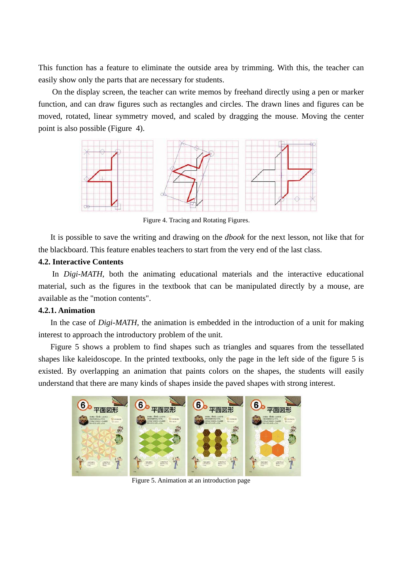This function has a feature to eliminate the outside area by trimming. With this, the teacher can easily show only the parts that are necessary for students.

On the display screen, the teacher can write memos by freehand directly using a pen or marker function, and can draw figures such as rectangles and circles. The drawn lines and figures can be moved, rotated, linear symmetry moved, and scaled by dragging the mouse. Moving the center point is also possible (Figure 4).



Figure 4. Tracing and Rotating Figures.

It is possible to save the writing and drawing on the *dbook* for the next lesson, not like that for the blackboard. This feature enables teachers to start from the very end of the last class.

## **4.2. Interactive Contents**

In *Digi-MATH*, both the animating educational materials and the interactive educational material, such as the figures in the textbook that can be manipulated directly by a mouse, are available as the "motion contents".

## **4.2.1. Animation**

In the case of *Digi-MATH*, the animation is embedded in the introduction of a unit for making interest to approach the introductory problem of the unit.

Figure 5 shows a problem to find shapes such as triangles and squares from the tessellated shapes like kaleidoscope. In the printed textbooks, only the page in the left side of the figure 5 is existed. By overlapping an animation that paints colors on the shapes, the students will easily understand that there are many kinds of shapes inside the paved shapes with strong interest.



Figure 5. Animation at an introduction page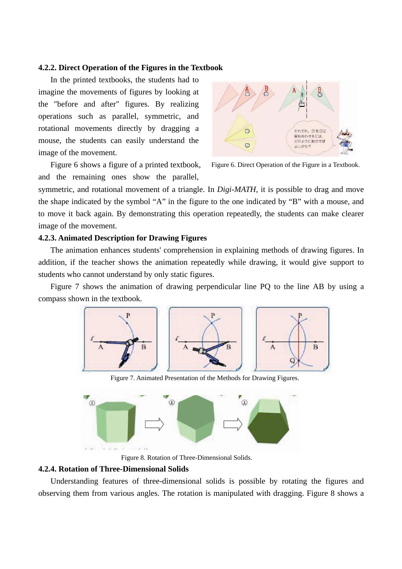#### **4.2.2. Direct Operation of the Figures in the Textbook**

In the printed textbooks, the students had to imagine the movements of figures by looking at the "before and after" figures. By realizing operations such as parallel, symmetric, and rotational movements directly by dragging a mouse, the students can easily understand the image of the movement.



Figure 6 shows a figure of a printed textbook, and the remaining ones show the parallel,

Figure 6. Direct Operation of the Figure in a Textbook.

symmetric, and rotational movement of a triangle. In *Digi-MATH*, it is possible to drag and move the shape indicated by the symbol "A" in the figure to the one indicated by "B" with a mouse, and to move it back again. By demonstrating this operation repeatedly, the students can make clearer image of the movement.

#### **4.2.3. Animated Description for Drawing Figures**

The animation enhances students' comprehension in explaining methods of drawing figures. In addition, if the teacher shows the animation repeatedly while drawing, it would give support to students who cannot understand by only static figures.

Figure 7 shows the animation of drawing perpendicular line PQ to the line AB by using a compass shown in the textbook.



Figure 7. Animated Presentation of the Methods for Drawing Figures.



Figure 8. Rotation of Three-Dimensional Solids.

## **4.2.4. Rotation of Three-Dimensional Solids**

Understanding features of three-dimensional solids is possible by rotating the figures and observing them from various angles. The rotation is manipulated with dragging. Figure 8 shows a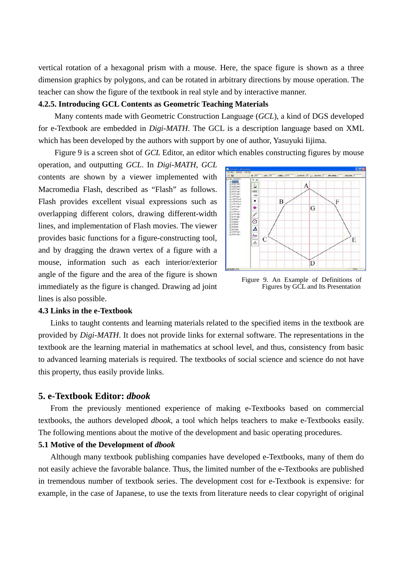vertical rotation of a hexagonal prism with a mouse. Here, the space figure is shown as a three dimension graphics by polygons, and can be rotated in arbitrary directions by mouse operation. The teacher can show the figure of the textbook in real style and by interactive manner.

#### **4.2.5. Introducing GCL Contents as Geometric Teaching Materials**

 Many contents made with Geometric Construction Language (*GCL*), a kind of DGS developed for e-Textbook are embedded in *Digi-MATH*. The GCL is a description language based on XML which has been developed by the authors with support by one of author, Yasuyuki Iijima.

Figure 9 is a screen shot of *GCL* Editor, an editor which enables constructing figures by mouse

operation, and outputting *GCL*. In *Digi-MATH*, *GCL*  contents are shown by a viewer implemented with Macromedia Flash, described as "Flash" as follows. Flash provides excellent visual expressions such as overlapping different colors, drawing different-width lines, and implementation of Flash movies. The viewer provides basic functions for a figure-constructing tool, and by dragging the drawn vertex of a figure with a mouse, information such as each interior/exterior angle of the figure and the area of the figure is shown immediately as the figure is changed. Drawing ad joint lines is also possible.



Figure 9. An Example of Definitions of Figures by GCL and Its Presentation

#### **4.3 Links in the e-Textbook**

Links to taught contents and learning materials related to the specified items in the textbook are provided by *Digi-MATH*. It does not provide links for external software. The representations in the textbook are the learning material in mathematics at school level, and thus, consistency from basic to advanced learning materials is required. The textbooks of social science and science do not have this property, thus easily provide links.

## **5. e-Textbook Editor:** *dbook*

From the previously mentioned experience of making e-Textbooks based on commercial textbooks, the authors developed *dbook*, a tool which helps teachers to make e-Textbooks easily. The following mentions about the motive of the development and basic operating procedures.

#### **5.1 Motive of the Development of** *dbook*

Although many textbook publishing companies have developed e-Textbooks, many of them do not easily achieve the favorable balance. Thus, the limited number of the e-Textbooks are published in tremendous number of textbook series. The development cost for e-Textbook is expensive: for example, in the case of Japanese, to use the texts from literature needs to clear copyright of original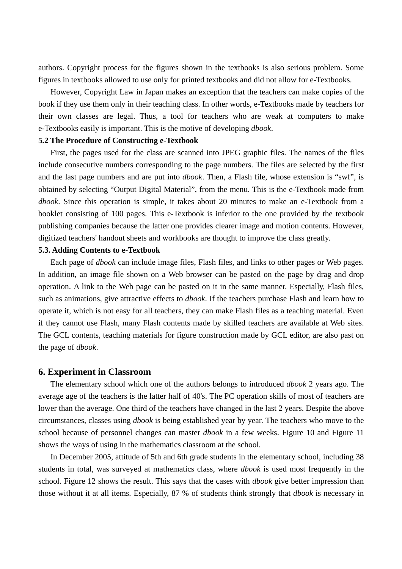authors. Copyright process for the figures shown in the textbooks is also serious problem. Some figures in textbooks allowed to use only for printed textbooks and did not allow for e-Textbooks.

However, Copyright Law in Japan makes an exception that the teachers can make copies of the book if they use them only in their teaching class. In other words, e-Textbooks made by teachers for their own classes are legal. Thus, a tool for teachers who are weak at computers to make e-Textbooks easily is important. This is the motive of developing *dbook*.

#### **5.2 The Procedure of Constructing e-Textbook**

First, the pages used for the class are scanned into JPEG graphic files. The names of the files include consecutive numbers corresponding to the page numbers. The files are selected by the first and the last page numbers and are put into *dbook*. Then, a Flash file, whose extension is "swf", is obtained by selecting "Output Digital Material", from the menu. This is the e-Textbook made from *dbook*. Since this operation is simple, it takes about 20 minutes to make an e-Textbook from a booklet consisting of 100 pages. This e-Textbook is inferior to the one provided by the textbook publishing companies because the latter one provides clearer image and motion contents. However, digitized teachers' handout sheets and workbooks are thought to improve the class greatly.

#### **5.3. Adding Contents to e-Textbook**

Each page of *dbook* can include image files, Flash files, and links to other pages or Web pages. In addition, an image file shown on a Web browser can be pasted on the page by drag and drop operation. A link to the Web page can be pasted on it in the same manner. Especially, Flash files, such as animations, give attractive effects to *dbook*. If the teachers purchase Flash and learn how to operate it, which is not easy for all teachers, they can make Flash files as a teaching material. Even if they cannot use Flash, many Flash contents made by skilled teachers are available at Web sites. The GCL contents, teaching materials for figure construction made by GCL editor, are also past on the page of *dbook*.

## **6. Experiment in Classroom**

The elementary school which one of the authors belongs to introduced *dbook* 2 years ago. The average age of the teachers is the latter half of 40's. The PC operation skills of most of teachers are lower than the average. One third of the teachers have changed in the last 2 years. Despite the above circumstances, classes using *dbook* is being established year by year. The teachers who move to the school because of personnel changes can master *dbook* in a few weeks. Figure 10 and Figure 11 shows the ways of using in the mathematics classroom at the school.

In December 2005, attitude of 5th and 6th grade students in the elementary school, including 38 students in total, was surveyed at mathematics class, where *dbook* is used most frequently in the school. Figure 12 shows the result. This says that the cases with *dbook* give better impression than those without it at all items. Especially, 87 % of students think strongly that *dbook* is necessary in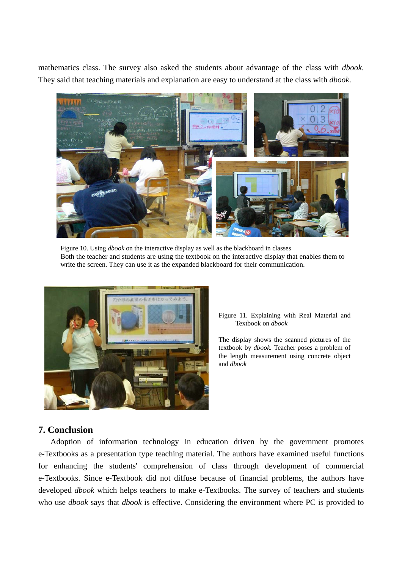mathematics class. The survey also asked the students about advantage of the class with *dbook*. They said that teaching materials and explanation are easy to understand at the class with *dbook*.



Figure 10. Using *dbook* on the interactive display as well as the blackboard in classes Both the teacher and students are using the textbook on the interactive display that enables them to write the screen. They can use it as the expanded blackboard for their communication.



Figure 11. Explaining with Real Material and Textbook on *dbook*

The display shows the scanned pictures of the textbook by *dbook.* Teacher poses a problem of the length measurement using concrete object and *dbook*

# **7. Conclusion**

Adoption of information technology in education driven by the government promotes e-Textbooks as a presentation type teaching material. The authors have examined useful functions for enhancing the students' comprehension of class through development of commercial e-Textbooks. Since e-Textbook did not diffuse because of financial problems, the authors have developed *dbook* which helps teachers to make e-Textbooks. The survey of teachers and students who use *dbook* says that *dbook* is effective. Considering the environment where PC is provided to